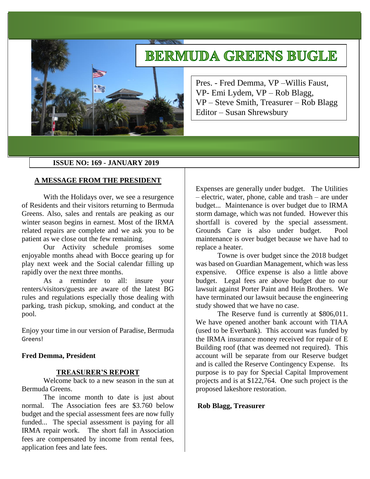# **BERMUDA GREENS BUGLE**



Pres. - Fred Demma, VP –Willis Faust, VP- Emi Lydem, VP – Rob Blagg, VP – Steve Smith, Treasurer – Rob Blagg Editor – Susan Shrewsbury

## **ISSUE NO: 169 - JANUARY 2019**

## **A MESSAGE FROM THE PRESIDENT**

With the Holidays over, we see a resurgence of Residents and their visitors returning to Bermuda Greens. Also, sales and rentals are peaking as our winter season begins in earnest. Most of the IRMA related repairs are complete and we ask you to be patient as we close out the few remaining.

Our Activity schedule promises some enjoyable months ahead with Bocce gearing up for play next week and the Social calendar filling up rapidly over the next three months.

As a reminder to all: insure your renters/visitors/guests are aware of the latest BG rules and regulations especially those dealing with parking, trash pickup, smoking, and conduct at the pool.

Enjoy your time in our version of Paradise, Bermuda Greens!

#### **Fred Demma, President**

#### **TREASURER'S REPORT**

Welcome back to a new season in the sun at Bermuda Greens.

The income month to date is just about normal. The Association fees are \$3.760 below budget and the special assessment fees are now fully funded... The special assessment is paying for all IRMA repair work. The short fall in Association fees are compensated by income from rental fees, application fees and late fees.

Expenses are generally under budget. The Utilities – electric, water, phone, cable and trash – are under budget... Maintenance is over budget due to IRMA storm damage, which was not funded. However this shortfall is covered by the special assessment. Grounds Care is also under budget. Pool maintenance is over budget because we have had to replace a heater.

Towne is over budget since the 2018 budget was based on Guardian Management, which was less expensive. Office expense is also a little above budget. Legal fees are above budget due to our lawsuit against Porter Paint and Hein Brothers. We have terminated our lawsuit because the engineering study showed that we have no case.

The Reserve fund is currently at \$806,011. We have opened another bank account with TIAA (used to be Everbank). This account was funded by the IRMA insurance money received for repair of E Building roof (that was deemed not required). This account will be separate from our Reserve budget and is called the Reserve Contingency Expense. Its purpose is to pay for Special Capital Improvement projects and is at \$122,764. One such project is the proposed lakeshore restoration.

## **Rob Blagg, Treasurer**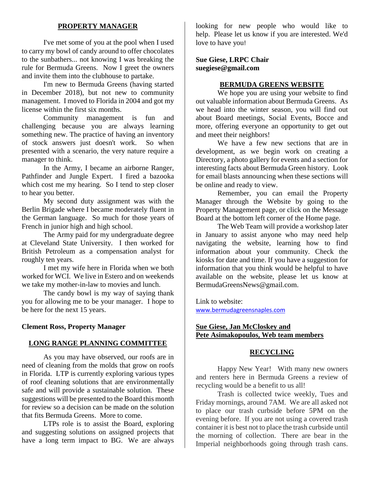## **PROPERTY MANAGER**

I've met some of you at the pool when I used to carry my bowl of candy around to offer chocolates to the sunbathers... not knowing I was breaking the rule for Bermuda Greens. Now I greet the owners and invite them into the clubhouse to partake.

I'm new to Bermuda Greens (having started in December 2018), but not new to community management. I moved to Florida in 2004 and got my license within the first six months.

Community management is fun and challenging because you are always learning something new. The practice of having an inventory of stock answers just doesn't work. So when presented with a scenario, the very nature require a manager to think.

In the Army, I became an airborne Ranger, Pathfinder and Jungle Expert. I fired a bazooka which cost me my hearing. So I tend to step closer to hear you better.

My second duty assignment was with the Berlin Brigade where I became moderately fluent in the German language. So much for those years of French in junior high and high school.

The Army paid for my undergraduate degree at Cleveland State University. I then worked for British Petroleum as a compensation analyst for roughly ten years.

I met my wife here in Florida when we both worked for WCI. We live in Estero and on weekends we take my mother-in-law to movies and lunch.

The candy bowl is my way of saying thank you for allowing me to be your manager. I hope to be here for the next 15 years.

## **Clement Ross, Property Manager**

#### **LONG RANGE PLANNING COMMITTEE**

As you may have observed, our roofs are in need of cleaning from the molds that grow on roofs in Florida. LTP is currently exploring various types of roof cleaning solutions that are environmentally safe and will provide a sustainable solution. These suggestions will be presented to the Board this month for review so a decision can be made on the solution that fits Bermuda Greens. More to come.

LTPs role is to assist the Board, exploring and suggesting solutions on assigned projects that have a long term impact to BG. We are always

looking for new people who would like to help. Please let us know if you are interested. We'd love to have you!

**Sue Giese, LRPC Chair suegiese@gmail.com**

#### **BERMUDA GREENS WEBSITE**

We hope you are using your website to find out valuable information about Bermuda Greens. As we head into the winter season, you will find out about Board meetings, Social Events, Bocce and more, offering everyone an opportunity to get out and meet their neighbors!

We have a few new sections that are in development, as we begin work on creating a Directory, a photo gallery for events and a section for interesting facts about Bermuda Green history. Look for email blasts announcing when these sections will be online and ready to view.

Remember, you can email the Property Manager through the Website by going to the Property Management page, or click on the Message Board at the bottom left corner of the Home page.

The Web Team will provide a workshop later in January to assist anyone who may need help navigating the website, learning how to find information about your community. Check the kiosks for date and time. If you have a suggestion for information that you think would be helpful to have available on the website, please let us know at [BermudaGreensNews@gmail.com.](mailto:BermudaGreensNews@gmail.com)

Link to website: [www.bermudagreensnaples.com](http://www.bermudagreensnaples.com/)

## **Sue Giese, Jan McCloskey and Pete Asimakopoulos, Web team members**

#### **RECYCLING**

Happy New Year! With many new owners and renters here in Bermuda Greens a review of recycling would be a benefit to us all!

Trash is collected twice weekly, Tues and Friday mornings, around 7AM. We are all asked not to place our trash curbside before 5PM on the evening before. If you are not using a covered trash container it is best not to place the trash curbside until the morning of collection. There are bear in the Imperial neighborhoods going through trash cans.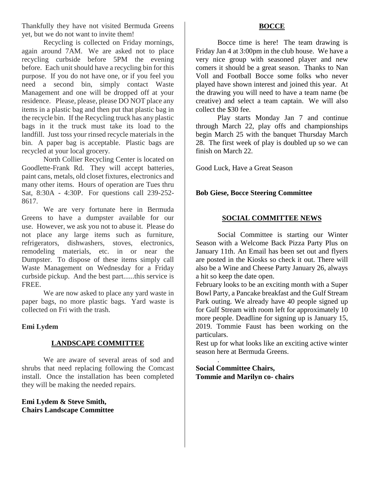Thankfully they have not visited Bermuda Greens yet, but we do not want to invite them!

Recycling is collected on Friday mornings, again around 7AM. We are asked not to place recycling curbside before 5PM the evening before. Each unit should have a recycling bin for this purpose. If you do not have one, or if you feel you need a second bin, simply contact Waste Management and one will be dropped off at your residence. Please, please, please DO NOT place any items in a plastic bag and then put that plastic bag in the recycle bin. If the Recycling truck has any plastic bags in it the truck must take its load to the landfill. Just toss your rinsed recycle materials in the bin. A paper bag is acceptable. Plastic bags are recycled at your local grocery.

North Collier Recycling Center is located on Goodlette-Frank Rd. They will accept batteries, paint cans, metals, old closet fixtures, electronics and many other items. Hours of operation are Tues thru Sat, 8:30A - 4:30P. For questions call 239-252- 8617.

We are very fortunate here in Bermuda Greens to have a dumpster available for our use. However, we ask you not to abuse it. Please do not place any large items such as furniture, refrigerators, dishwashers, stoves, electronics, remodeling materials, etc. in or near the Dumpster. To dispose of these items simply call Waste Management on Wednesday for a Friday curbside pickup. And the best part......this service is FREE.

We are now asked to place any yard waste in paper bags, no more plastic bags. Yard waste is collected on Fri with the trash.

# **Emi Lydem**

# **LANDSCAPE COMMITTEE**

We are aware of several areas of sod and shrubs that need replacing following the Comcast install. Once the installation has been completed they will be making the needed repairs.

## **Emi Lydem & Steve Smith, Chairs Landscape Committee**

# **BOCCE**

Bocce time is here! The team drawing is Friday Jan 4 at 3:00pm in the club house. We have a very nice group with seasoned player and new comers it should be a great season. Thanks to Nan Voll and Football Bocce some folks who never played have shown interest and joined this year. At the drawing you will need to have a team name (be creative) and select a team captain. We will also collect the \$30 fee.

Play starts Monday Jan 7 and continue through March 22, play offs and championships begin March 25 with the banquet Thursday March 28. The first week of play is doubled up so we can finish on March 22.

Good Luck, Have a Great Season

# **Bob Giese, Bocce Steering Committee**

# **SOCIAL COMMITTEE NEWS**

Social Committee is starting our Winter Season with a Welcome Back Pizza Party Plus on January 11th. An Email has been set out and flyers are posted in the Kiosks so check it out. There will also be a Wine and Cheese Party January 26, always a hit so keep the date open.

February looks to be an exciting month with a Super Bowl Party, a Pancake breakfast and the Gulf Stream Park outing. We already have 40 people signed up for Gulf Stream with room left for approximately 10 more people. Deadline for signing up is January 15, 2019. Tommie Faust has been working on the particulars.

Rest up for what looks like an exciting active winter season here at Bermuda Greens.

**Social Committee Chairs, Tommie and Marilyn co- chairs**

.